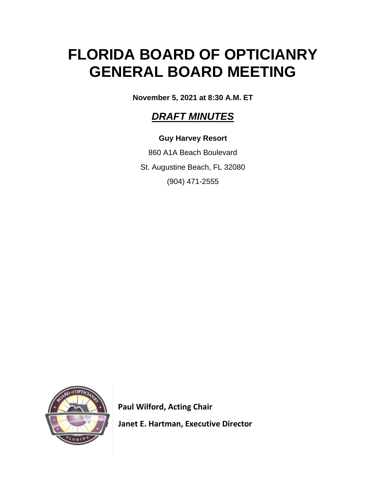# **FLORIDA BOARD OF OPTICIANRY GENERAL BOARD MEETING**

**November 5, 2021 at 8:30 A.M. ET**

# *DRAFT MINUTES*

# **Guy Harvey Resort**

860 A1A Beach Boulevard St. Augustine Beach, FL 32080 (904) 471-2555



 **Paul Wilford, Acting Chair**

 **Janet E. Hartman, Executive Director**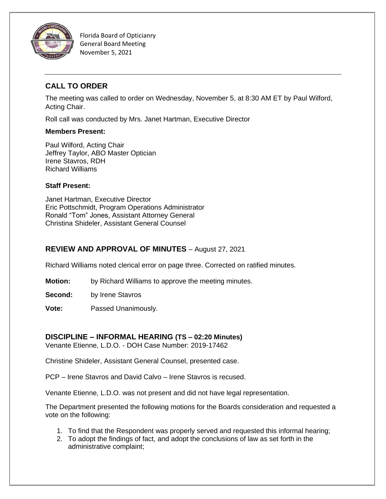

# **CALL TO ORDER**

The meeting was called to order on Wednesday, November 5, at 8:30 AM ET by Paul Wilford, Acting Chair.

Roll call was conducted by Mrs. Janet Hartman, Executive Director

#### **Members Present:**

Paul Wilford, Acting Chair Jeffrey Taylor, ABO Master Optician Irene Stavros, RDH Richard Williams

#### **Staff Present:**

Janet Hartman, Executive Director Eric Pottschmidt, Program Operations Administrator Ronald "Tom" Jones, Assistant Attorney General Christina Shideler, Assistant General Counsel

## **REVIEW AND APPROVAL OF MINUTES** – August 27, 2021

Richard Williams noted clerical error on page three. Corrected on ratified minutes.

**Motion:** by Richard Williams to approve the meeting minutes.

**Second:** by Irene Stavros

**Vote:** Passed Unanimously.

## **DISCIPLINE – INFORMAL HEARING (TS – 02:20 Minutes)**

Venante Etienne, L.D.O. - DOH Case Number: 2019-17462

Christine Shideler, Assistant General Counsel, presented case.

PCP – Irene Stavros and David Calvo – Irene Stavros is recused.

Venante Etienne, L.D.O. was not present and did not have legal representation.

The Department presented the following motions for the Boards consideration and requested a vote on the following:

- 1. To find that the Respondent was properly served and requested this informal hearing;
- 2. To adopt the findings of fact, and adopt the conclusions of law as set forth in the administrative complaint;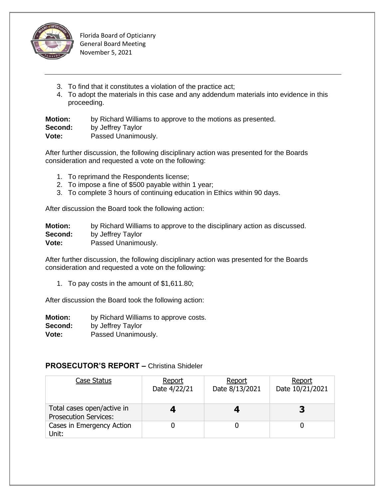

- 3. To find that it constitutes a violation of the practice act;
- 4. To adopt the materials in this case and any addendum materials into evidence in this proceeding.

**Motion:** by Richard Williams to approve to the motions as presented. **Second:** by Jeffrey Taylor **Vote:** Passed Unanimously.

After further discussion, the following disciplinary action was presented for the Boards consideration and requested a vote on the following:

- 1. To reprimand the Respondents license;
- 2. To impose a fine of \$500 payable within 1 year;
- 3. To complete 3 hours of continuing education in Ethics within 90 days.

After discussion the Board took the following action:

| <b>Motion:</b> | by Richard Williams to approve to the disciplinary action as discussed. |
|----------------|-------------------------------------------------------------------------|
| Second:        | by Jeffrey Taylor                                                       |
| Vote:          | Passed Unanimously.                                                     |

After further discussion, the following disciplinary action was presented for the Boards consideration and requested a vote on the following:

1. To pay costs in the amount of \$1,611.80;

After discussion the Board took the following action:

**Motion:** by Richard Williams to approve costs. **Second:** by Jeffrey Taylor **Vote:** Passed Unanimously.

# **PROSECUTOR'S REPORT –** Christina Shideler

| Case Status                                                | Report<br>Date 4/22/21 | Report<br>Date 8/13/2021 | Report<br>Date 10/21/2021 |
|------------------------------------------------------------|------------------------|--------------------------|---------------------------|
| Total cases open/active in<br><b>Prosecution Services:</b> |                        |                          |                           |
| Cases in Emergency Action<br>Unit:                         |                        |                          |                           |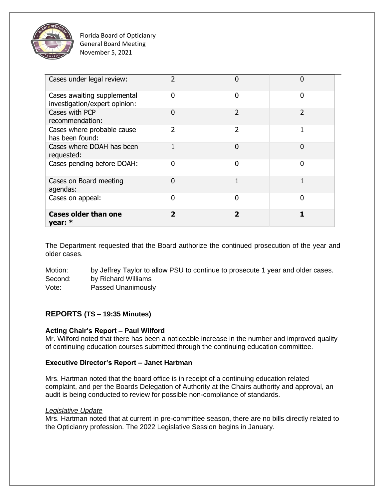

| Cases under legal review:                                    | 2                        | ი                        |               |
|--------------------------------------------------------------|--------------------------|--------------------------|---------------|
| Cases awaiting supplemental<br>investigation/expert opinion: | 0                        | 0                        | 0             |
| Cases with PCP<br>recommendation:                            | $\Omega$                 | $\overline{2}$           | $\mathcal{P}$ |
| Cases where probable cause<br>has been found:                | 2                        | $\overline{2}$           |               |
| Cases where DOAH has been<br>requested:                      |                          | $\overline{0}$           | O             |
| Cases pending before DOAH:                                   | O                        | 0                        | N             |
| Cases on Board meeting<br>agendas:                           | 0                        | 1                        |               |
| Cases on appeal:                                             | 0                        | $\Omega$                 | n             |
| <b>Cases older than one</b><br>year: $*$                     | $\overline{\phantom{a}}$ | $\overline{\phantom{a}}$ |               |

The Department requested that the Board authorize the continued prosecution of the year and older cases.

Motion: by Jeffrey Taylor to allow PSU to continue to prosecute 1 year and older cases. Second: by Richard Williams Vote: Passed Unanimously

#### **REPORTS (TS – 19:35 Minutes)**

#### **Acting Chair's Report – Paul Wilford**

Mr. Wilford noted that there has been a noticeable increase in the number and improved quality of continuing education courses submitted through the continuing education committee.

#### **Executive Director's Report – Janet Hartman**

Mrs. Hartman noted that the board office is in receipt of a continuing education related complaint, and per the Boards Delegation of Authority at the Chairs authority and approval, an audit is being conducted to review for possible non-compliance of standards.

#### *Legislative Update*

Mrs. Hartman noted that at current in pre-committee season, there are no bills directly related to the Opticianry profession. The 2022 Legislative Session begins in January.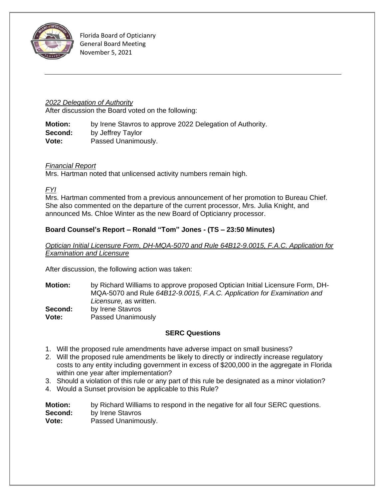

#### *2022 Delegation of Authority*

After discussion the Board voted on the following:

**Motion:** by Irene Stavros to approve 2022 Delegation of Authority. **Second:** by Jeffrey Taylor **Vote:** Passed Unanimously.

#### *Financial Report*

Mrs. Hartman noted that unlicensed activity numbers remain high.

*FYI*

Mrs. Hartman commented from a previous announcement of her promotion to Bureau Chief. She also commented on the departure of the current processor, Mrs. Julia Knight, and announced Ms. Chloe Winter as the new Board of Opticianry processor.

#### **Board Counsel's Report – Ronald "Tom" Jones - (TS – 23:50 Minutes)**

*Optician Initial Licensure Form, DH-MQA-5070 and Rule 64B12-9.0015, F.A.C. Application for Examination and Licensure*

After discussion, the following action was taken:

**Motion:** by Richard Williams to approve proposed Optician Initial Licensure Form, DH-MQA-5070 and Rule *64B12-9.0015, F.A.C. Application for Examination and Licensure,* as written. **Second:** by Irene Stavros **Vote:** Passed Unanimously

#### **SERC Questions**

- 1. Will the proposed rule amendments have adverse impact on small business?
- 2. Will the proposed rule amendments be likely to directly or indirectly increase regulatory costs to any entity including government in excess of \$200,000 in the aggregate in Florida within one year after implementation?
- 3. Should a violation of this rule or any part of this rule be designated as a minor violation?
- 4. Would a Sunset provision be applicable to this Rule?

**Motion:** by Richard Williams to respond in the negative for all four SERC questions. **Second:** by Irene Stavros **Vote:** Passed Unanimously.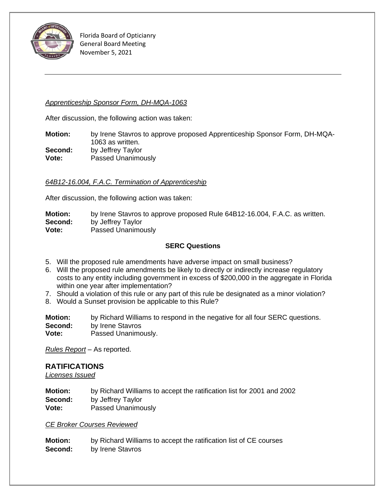

#### *Apprenticeship Sponsor Form, DH-MQA-1063*

After discussion, the following action was taken:

**Motion:** by Irene Stavros to approve proposed Apprenticeship Sponsor Form, DH-MQA-1063 as written. **Second:** by Jeffrey Taylor **Vote:** Passed Unanimously

#### *64B12-16.004, F.A.C. Termination of Apprenticeship*

After discussion, the following action was taken:

**Motion:** by Irene Stavros to approve proposed Rule 64B12-16.004, F.A.C. as written. **Second:** by Jeffrey Taylor **Vote:** Passed Unanimously

#### **SERC Questions**

- 5. Will the proposed rule amendments have adverse impact on small business?
- 6. Will the proposed rule amendments be likely to directly or indirectly increase regulatory costs to any entity including government in excess of \$200,000 in the aggregate in Florida within one year after implementation?
- 7. Should a violation of this rule or any part of this rule be designated as a minor violation?
- 8. Would a Sunset provision be applicable to this Rule?

**Motion:** by Richard Williams to respond in the negative for all four SERC questions. **Second:** by Irene Stavros **Vote:** Passed Unanimously.

*Rules Report* – As reported.

#### **RATIFICATIONS**

*Licenses Issued*

**Motion:** by Richard Williams to accept the ratification list for 2001 and 2002 **Second:** by Jeffrey Taylor **Vote:** Passed Unanimously

#### *CE Broker Courses Reviewed*

**Motion:** by Richard Williams to accept the ratification list of CE courses **Second:** by Irene Stavros